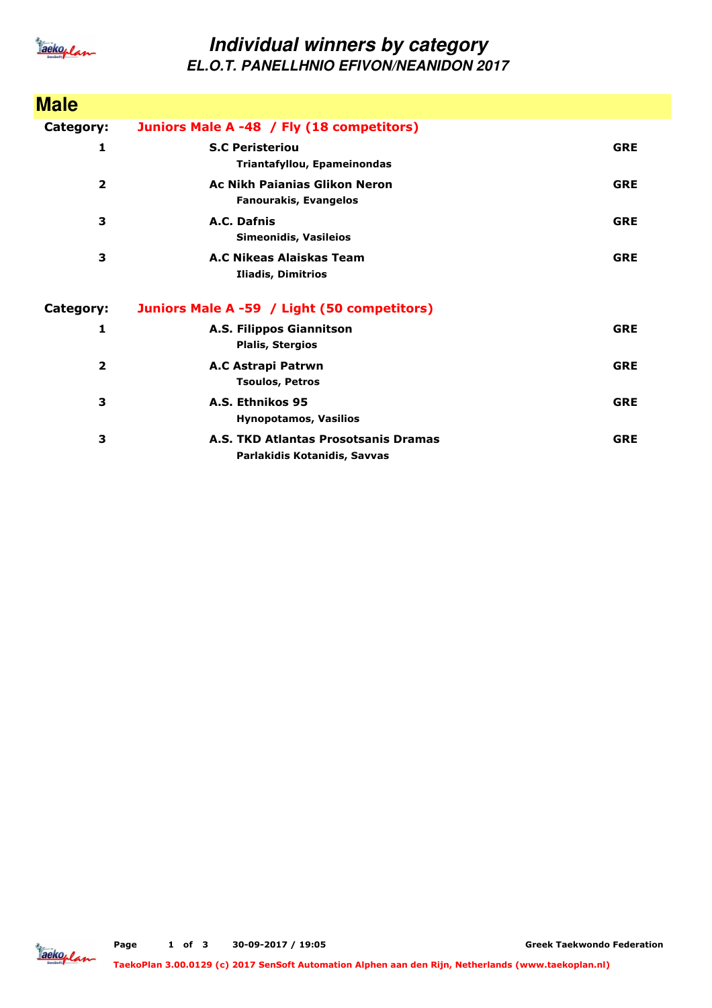

## **Individual winners by category EL.O.T. PANELLHNIO EFIVON/NEANIDON 2017**

| <b>Male</b>             |                                                                      |            |
|-------------------------|----------------------------------------------------------------------|------------|
| Category:               | Juniors Male A -48 / Fly (18 competitors)                            |            |
| 1                       | <b>S.C Peristeriou</b><br>Triantafyllou, Epameinondas                | <b>GRE</b> |
| $\overline{\mathbf{2}}$ | Ac Nikh Paianias Glikon Neron<br><b>Fanourakis, Evangelos</b>        | <b>GRE</b> |
| 3                       | A.C. Dafnis<br><b>Simeonidis, Vasileios</b>                          | <b>GRE</b> |
| 3                       | A.C Nikeas Alaiskas Team<br>Iliadis, Dimitrios                       | <b>GRE</b> |
| Category:               | Juniors Male A -59 / Light (50 competitors)                          |            |
| 1                       | A.S. Filippos Giannitson<br><b>Plalis, Stergios</b>                  | <b>GRE</b> |
| $\overline{2}$          | A.C Astrapi Patrwn<br><b>Tsoulos, Petros</b>                         | <b>GRE</b> |
| 3                       | A.S. Ethnikos 95<br><b>Hynopotamos, Vasilios</b>                     | <b>GRE</b> |
| 3                       | A.S. TKD Atlantas Prosotsanis Dramas<br>Parlakidis Kotanidis, Savvas | <b>GRE</b> |

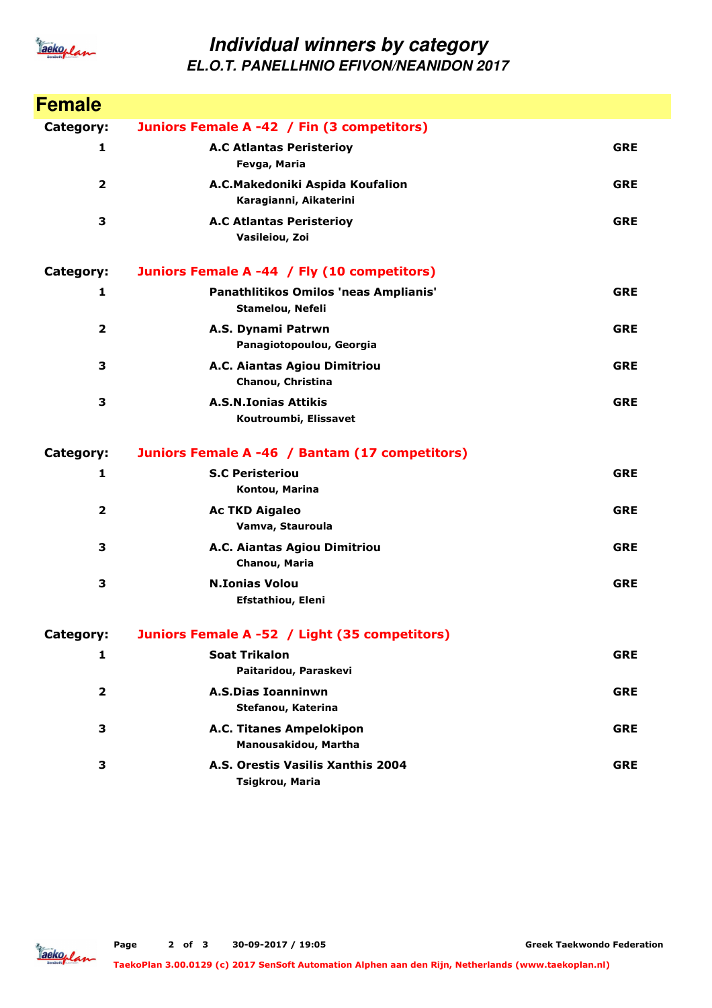

## **Individual winners by category EL.O.T. PANELLHNIO EFIVON/NEANIDON 2017**

| <b>Female</b>           |                                                           |            |
|-------------------------|-----------------------------------------------------------|------------|
| Category:               | Juniors Female A -42 / Fin (3 competitors)                |            |
| 1                       | <b>A.C Atlantas Peristerioy</b><br>Fevga, Maria           | <b>GRE</b> |
| $\overline{2}$          | A.C.Makedoniki Aspida Koufalion<br>Karagianni, Aikaterini | <b>GRE</b> |
| 3                       | <b>A.C Atlantas Peristerioy</b><br>Vasileiou, Zoi         | <b>GRE</b> |
| Category:               | Juniors Female A -44 / Fly (10 competitors)               |            |
| 1                       | Panathlitikos Omilos 'neas Amplianis'<br>Stamelou, Nefeli | <b>GRE</b> |
| $\overline{\mathbf{2}}$ | A.S. Dynami Patrwn<br>Panagiotopoulou, Georgia            | <b>GRE</b> |
| 3                       | A.C. Aiantas Agiou Dimitriou<br>Chanou, Christina         | <b>GRE</b> |
| 3                       | <b>A.S.N.Ionias Attikis</b><br>Koutroumbi, Elissavet      | <b>GRE</b> |
| Category:               | Juniors Female A -46 / Bantam (17 competitors)            |            |
| 1                       | <b>S.C Peristeriou</b><br>Kontou, Marina                  | <b>GRE</b> |
| 2                       | <b>Ac TKD Aigaleo</b><br>Vamva, Stauroula                 | <b>GRE</b> |
| 3                       | A.C. Aiantas Agiou Dimitriou<br>Chanou, Maria             | <b>GRE</b> |
| 3                       | <b>N.Ionias Volou</b><br>Efstathiou, Eleni                | <b>GRE</b> |
| Category:               | Juniors Female A -52 / Light (35 competitors)             |            |
| 1                       | <b>Soat Trikalon</b><br>Paitaridou, Paraskevi             | <b>GRE</b> |
| 2                       | <b>A.S.Dias Ioanninwn</b><br>Stefanou, Katerina           | <b>GRE</b> |
| З                       | A.C. Titanes Ampelokipon<br>Manousakidou, Martha          | <b>GRE</b> |
| 3                       | A.S. Orestis Vasilis Xanthis 2004<br>Tsigkrou, Maria      | <b>GRE</b> |